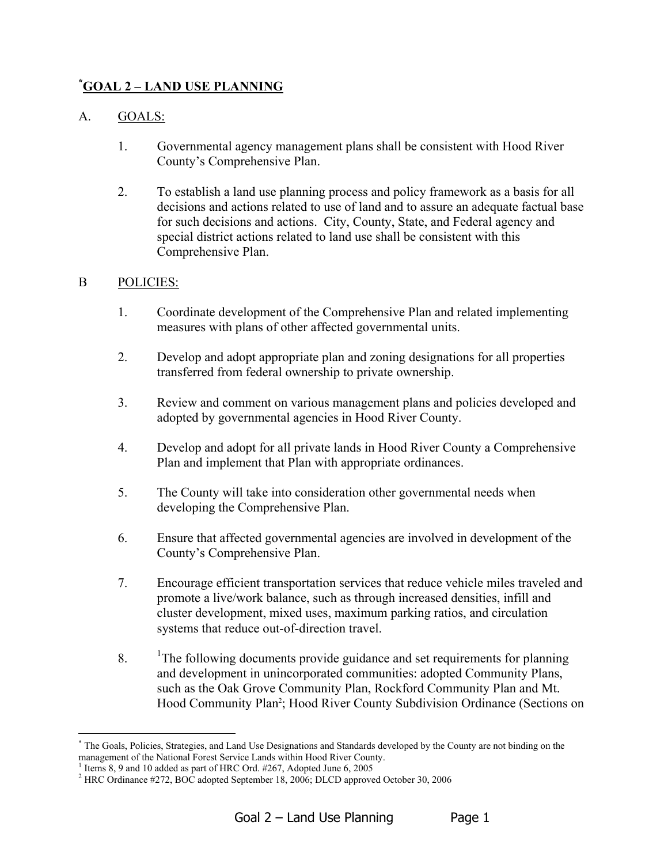## **[\\*](#page-0-0) GOAL 2 – LAND USE PLANNING**

## A. GOALS:

- 1. Governmental agency management plans shall be consistent with Hood River County's Comprehensive Plan.
- 2. To establish a land use planning process and policy framework as a basis for all decisions and actions related to use of land and to assure an adequate factual base for such decisions and actions. City, County, State, and Federal agency and special district actions related to land use shall be consistent with this Comprehensive Plan.

## B POLICIES:

- 1. Coordinate development of the Comprehensive Plan and related implementing measures with plans of other affected governmental units.
- 2. Develop and adopt appropriate plan and zoning designations for all properties transferred from federal ownership to private ownership.
- 3. Review and comment on various management plans and policies developed and adopted by governmental agencies in Hood River County.
- 4. Develop and adopt for all private lands in Hood River County a Comprehensive Plan and implement that Plan with appropriate ordinances.
- 5. The County will take into consideration other governmental needs when developing the Comprehensive Plan.
- 6. Ensure that affected governmental agencies are involved in development of the County's Comprehensive Plan.
- 7. Encourage efficient transportation services that reduce vehicle miles traveled and promote a live/work balance, such as through increased densities, infill and cluster development, mixed uses, maximum parking ratios, and circulation systems that reduce out-of-direction travel.
- 8. <sup>1</sup>The following documents provide guidance and set requirements for planning and development in unincorporated communities: adopted Community Plans, such as the Oak Grove Community Plan, Rockford Community Plan and Mt. Hood Community Plan<sup>2</sup>; Hood River County Subdivision Ordinance (Sections on

<span id="page-0-0"></span><sup>\*&</sup>lt;br>The Goals, Policies, Strategies, and Land Use Designations and Standards developed by the County are not binding on the management of the National Forest Service Lands within Hood River County. <sup>1</sup>

<span id="page-0-1"></span><sup>&</sup>lt;sup>1</sup> Items 8, 9 and 10 added as part of HRC Ord.  $#267$ , Adopted June 6, 2005

<span id="page-0-2"></span><sup>&</sup>lt;sup>2</sup> HRC Ordinance #272, BOC adopted September 18, 2006; DLCD approved October 30, 2006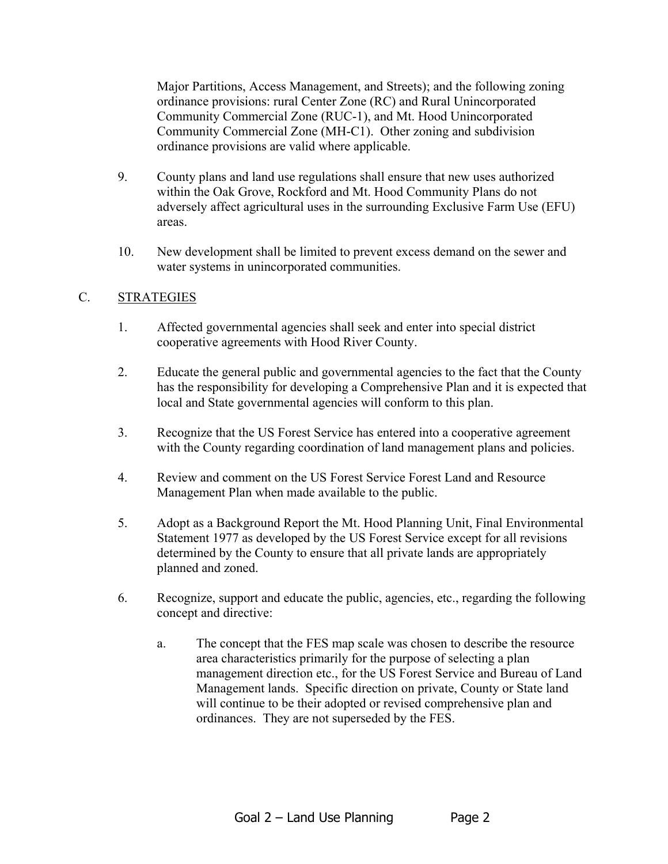Major Partitions, Access Management, and Streets); and the following zoning ordinance provisions: rural Center Zone (RC) and Rural Unincorporated Community Commercial Zone (RUC-1), and Mt. Hood Unincorporated Community Commercial Zone (MH-C1). Other zoning and subdivision ordinance provisions are valid where applicable.

- 9. County plans and land use regulations shall ensure that new uses authorized within the Oak Grove, Rockford and Mt. Hood Community Plans do not adversely affect agricultural uses in the surrounding Exclusive Farm Use (EFU) areas.
- 10. New development shall be limited to prevent excess demand on the sewer and water systems in unincorporated communities.

## C. STRATEGIES

- 1. Affected governmental agencies shall seek and enter into special district cooperative agreements with Hood River County.
- 2. Educate the general public and governmental agencies to the fact that the County has the responsibility for developing a Comprehensive Plan and it is expected that local and State governmental agencies will conform to this plan.
- 3. Recognize that the US Forest Service has entered into a cooperative agreement with the County regarding coordination of land management plans and policies.
- 4. Review and comment on the US Forest Service Forest Land and Resource Management Plan when made available to the public.
- 5. Adopt as a Background Report the Mt. Hood Planning Unit, Final Environmental Statement 1977 as developed by the US Forest Service except for all revisions determined by the County to ensure that all private lands are appropriately planned and zoned.
- 6. Recognize, support and educate the public, agencies, etc., regarding the following concept and directive:
	- a. The concept that the FES map scale was chosen to describe the resource area characteristics primarily for the purpose of selecting a plan management direction etc., for the US Forest Service and Bureau of Land Management lands. Specific direction on private, County or State land will continue to be their adopted or revised comprehensive plan and ordinances. They are not superseded by the FES.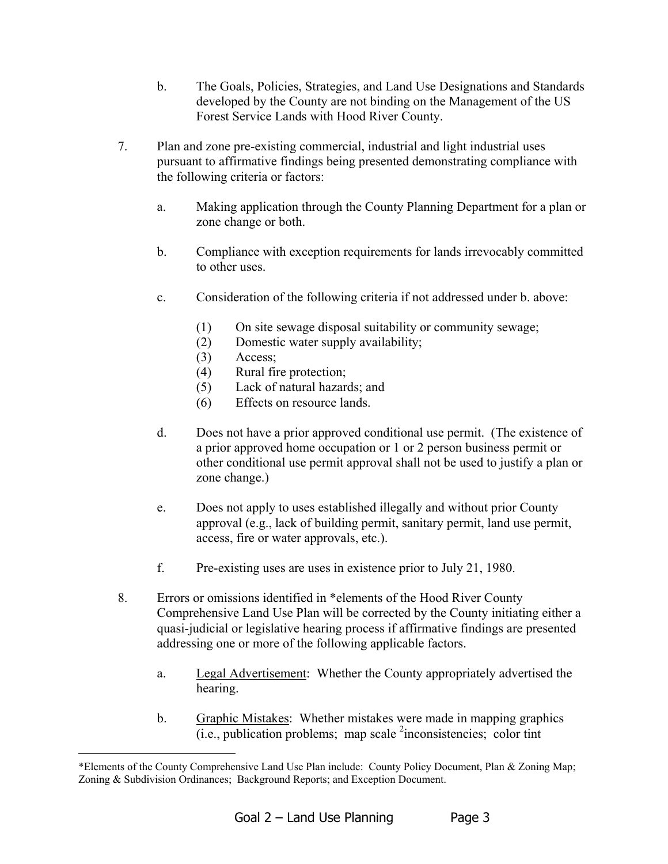- b. The Goals, Policies, Strategies, and Land Use Designations and Standards developed by the County are not binding on the Management of the US Forest Service Lands with Hood River County.
- 7. Plan and zone pre-existing commercial, industrial and light industrial uses pursuant to affirmative findings being presented demonstrating compliance with the following criteria or factors:
	- a. Making application through the County Planning Department for a plan or zone change or both.
	- b. Compliance with exception requirements for lands irrevocably committed to other uses.
	- c. Consideration of the following criteria if not addressed under b. above:
		- (1) On site sewage disposal suitability or community sewage;
		- (2) Domestic water supply availability;
		- (3) Access;

 $\overline{a}$ 

- (4) Rural fire protection;
- (5) Lack of natural hazards; and
- (6) Effects on resource lands.
- d. Does not have a prior approved conditional use permit. (The existence of a prior approved home occupation or 1 or 2 person business permit or other conditional use permit approval shall not be used to justify a plan or zone change.)
- e. Does not apply to uses established illegally and without prior County approval (e.g., lack of building permit, sanitary permit, land use permit, access, fire or water approvals, etc.).
- f. Pre-existing uses are uses in existence prior to July 21, 1980.
- 8. Errors or omissions identified in \*elements of the Hood River County Comprehensive Land Use Plan will be corrected by the County initiating either a quasi-judicial or legislative hearing process if affirmative findings are presented addressing one or more of the following applicable factors.
	- a. Legal Advertisement: Whether the County appropriately advertised the hearing.
	- b. Graphic Mistakes: Whether mistakes were made in mapping graphics  $(i.e., publication problems; map scale <sup>2</sup> inconsistencies; color tint$

<span id="page-2-0"></span><sup>\*</sup>Elements of the County Comprehensive Land Use Plan include: County Policy Document, Plan & Zoning Map; Zoning & Subdivision Ordinances; Background Reports; and Exception Document.